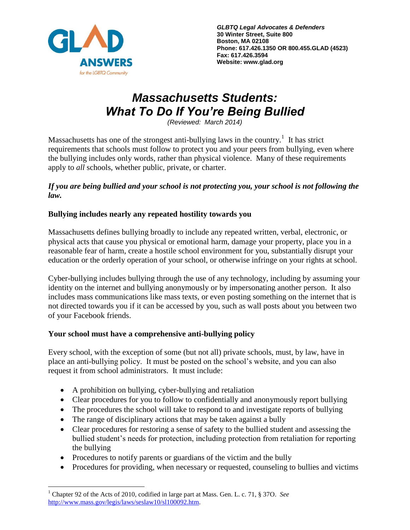

# *Massachusetts Students: What To Do If You're Being Bullied*

*(Reviewed: March 2014)*

Massachusetts has one of the strongest anti-bullying laws in the country.<sup>1</sup> It has strict requirements that schools must follow to protect you and your peers from bullying, even where the bullying includes only words, rather than physical violence. Many of these requirements apply to *all* schools, whether public, private, or charter.

## *If you are being bullied and your school is not protecting you, your school is not following the law.*

## **Bullying includes nearly any repeated hostility towards you**

Massachusetts defines bullying broadly to include any repeated written, verbal, electronic, or physical acts that cause you physical or emotional harm, damage your property, place you in a reasonable fear of harm, create a hostile school environment for you, substantially disrupt your education or the orderly operation of your school, or otherwise infringe on your rights at school.

Cyber-bullying includes bullying through the use of any technology, including by assuming your identity on the internet and bullying anonymously or by impersonating another person. It also includes mass communications like mass texts, or even posting something on the internet that is not directed towards you if it can be accessed by you, such as wall posts about you between two of your Facebook friends.

## **Your school must have a comprehensive anti-bullying policy**

Every school, with the exception of some (but not all) private schools, must, by law, have in place an anti-bullying policy. It must be posted on the school's website, and you can also request it from school administrators. It must include:

- A prohibition on bullying, cyber-bullying and retaliation
- Clear procedures for you to follow to confidentially and anonymously report bullying
- The procedures the school will take to respond to and investigate reports of bullying
- The range of disciplinary actions that may be taken against a bully
- Clear procedures for restoring a sense of safety to the bullied student and assessing the bullied student's needs for protection, including protection from retaliation for reporting the bullying
- Procedures to notify parents or guardians of the victim and the bully
- Procedures for providing, when necessary or requested, counseling to bullies and victims

 $\overline{a}$ 

<sup>1</sup> Chapter 92 of the Acts of 2010, codified in large part at Mass. Gen. L. c. 71, § 37O. *See* [http://www.mass.gov/legis/laws/seslaw10/sl100092.htm.](http://www.mass.gov/legis/laws/seslaw10/sl100092.htm)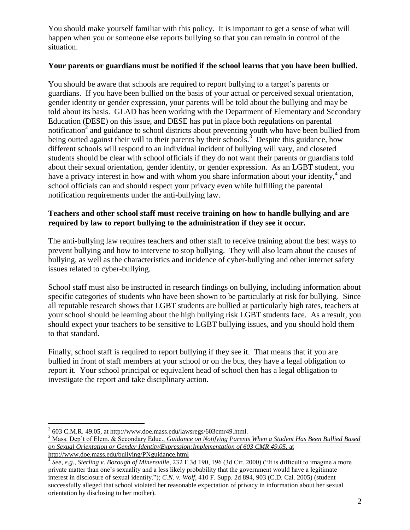You should make yourself familiar with this policy. It is important to get a sense of what will happen when you or someone else reports bullying so that you can remain in control of the situation.

#### **Your parents or guardians must be notified if the school learns that you have been bullied.**

You should be aware that schools are required to report bullying to a target's parents or guardians. If you have been bullied on the basis of your actual or perceived sexual orientation, gender identity or gender expression, your parents will be told about the bullying and may be told about its basis. GLAD has been working with the Department of Elementary and Secondary Education (DESE) on this issue, and DESE has put in place both regulations on parental notification<sup>2</sup> and guidance to school districts about preventing youth who have been bullied from being outted against their will to their parents by their schools.<sup>3</sup> Despite this guidance, how different schools will respond to an individual incident of bullying will vary, and closeted students should be clear with school officials if they do not want their parents or guardians told about their sexual orientation, gender identity, or gender expression. As an LGBT student, you have a privacy interest in how and with whom you share information about your identity,<sup>4</sup> and school officials can and should respect your privacy even while fulfilling the parental notification requirements under the anti-bullying law.

### **Teachers and other school staff must receive training on how to handle bullying and are required by law to report bullying to the administration if they see it occur.**

The anti-bullying law requires teachers and other staff to receive training about the best ways to prevent bullying and how to intervene to stop bullying. They will also learn about the causes of bullying, as well as the characteristics and incidence of cyber-bullying and other internet safety issues related to cyber-bullying.

School staff must also be instructed in research findings on bullying, including information about specific categories of students who have been shown to be particularly at risk for bullying. Since all reputable research shows that LGBT students are bullied at particularly high rates, teachers at your school should be learning about the high bullying risk LGBT students face. As a result, you should expect your teachers to be sensitive to LGBT bullying issues, and you should hold them to that standard.

Finally, school staff is required to report bullying if they see it. That means that if you are bullied in front of staff members at your school or on the bus, they have a legal obligation to report it. Your school principal or equivalent head of school then has a legal obligation to investigate the report and take disciplinary action.

http://www.doe.mass.edu/bullying/PNguidance.html

 $\overline{a}$  $^{2}$  603 C.M.R. 49.05, at http://www.doe.mass.edu/lawsregs/603cmr49.html.

*<sup>3</sup>* Mass. Dep't of Elem. & Secondary Educ., *Guidance on Notifying Parents When a Student Has Been Bullied Based on Sexual Orientation or Gender Identity/Expression:Implementation of 603 CMR 49.05,* at

<sup>4</sup> *See, e.g., Sterling v. Borough of Minersville*, 232 F.3d 190, 196 (3d Cir. 2000) ("It is difficult to imagine a more private matter than one's sexuality and a less likely probability that the government would have a legitimate interest in disclosure of sexual identity."); *C.N. v. Wolf*, 410 F. Supp. 2d 894, 903 (C.D. Cal. 2005) (student successfully alleged that school violated her reasonable expectation of privacy in information about her sexual orientation by disclosing to her mother).